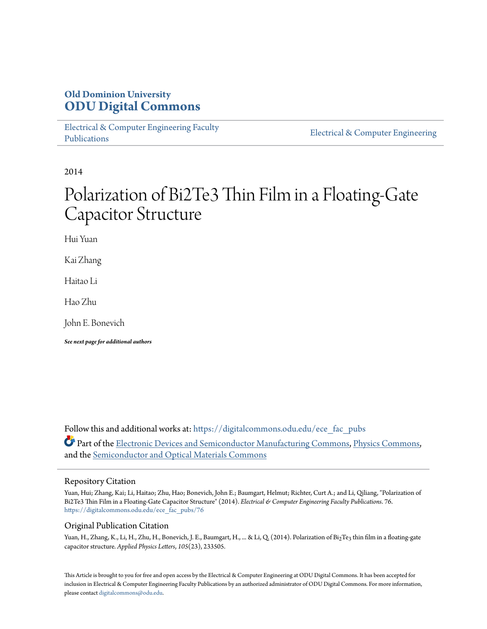## **Old Dominion University [ODU Digital Commons](https://digitalcommons.odu.edu?utm_source=digitalcommons.odu.edu%2Fece_fac_pubs%2F76&utm_medium=PDF&utm_campaign=PDFCoverPages)**

[Electrical & Computer Engineering Faculty](https://digitalcommons.odu.edu/ece_fac_pubs?utm_source=digitalcommons.odu.edu%2Fece_fac_pubs%2F76&utm_medium=PDF&utm_campaign=PDFCoverPages) [Publications](https://digitalcommons.odu.edu/ece_fac_pubs?utm_source=digitalcommons.odu.edu%2Fece_fac_pubs%2F76&utm_medium=PDF&utm_campaign=PDFCoverPages)

[Electrical & Computer Engineering](https://digitalcommons.odu.edu/ece?utm_source=digitalcommons.odu.edu%2Fece_fac_pubs%2F76&utm_medium=PDF&utm_campaign=PDFCoverPages)

2014

# Polarization of Bi2Te3 Thin Film in a Floating-Gate Capacitor Structure

Hui Yuan

Kai Zhang

Haitao Li

Hao Zhu

John E. Bonevich

*See next page for additional authors*

Follow this and additional works at: [https://digitalcommons.odu.edu/ece\\_fac\\_pubs](https://digitalcommons.odu.edu/ece_fac_pubs?utm_source=digitalcommons.odu.edu%2Fece_fac_pubs%2F76&utm_medium=PDF&utm_campaign=PDFCoverPages) Part of the [Electronic Devices and Semiconductor Manufacturing Commons](http://network.bepress.com/hgg/discipline/272?utm_source=digitalcommons.odu.edu%2Fece_fac_pubs%2F76&utm_medium=PDF&utm_campaign=PDFCoverPages), [Physics Commons,](http://network.bepress.com/hgg/discipline/193?utm_source=digitalcommons.odu.edu%2Fece_fac_pubs%2F76&utm_medium=PDF&utm_campaign=PDFCoverPages) and the [Semiconductor and Optical Materials Commons](http://network.bepress.com/hgg/discipline/290?utm_source=digitalcommons.odu.edu%2Fece_fac_pubs%2F76&utm_medium=PDF&utm_campaign=PDFCoverPages)

#### Repository Citation

Yuan, Hui; Zhang, Kai; Li, Haitao; Zhu, Hao; Bonevich, John E.; Baumgart, Helmut; Richter, Curt A.; and Li, Qiliang, "Polarization of Bi2Te3 Thin Film in a Floating-Gate Capacitor Structure" (2014). *Electrical & Computer Engineering Faculty Publications*. 76. [https://digitalcommons.odu.edu/ece\\_fac\\_pubs/76](https://digitalcommons.odu.edu/ece_fac_pubs/76?utm_source=digitalcommons.odu.edu%2Fece_fac_pubs%2F76&utm_medium=PDF&utm_campaign=PDFCoverPages)

#### Original Publication Citation

Yuan, H., Zhang, K., Li, H., Zhu, H., Bonevich, J. E., Baumgart, H., ... & Li, Q. (2014). Polarization of Bi2Te3 thin film in a floating-gate capacitor structure. *Applied Physics Letters*, *105*(23), 233505.

This Article is brought to you for free and open access by the Electrical & Computer Engineering at ODU Digital Commons. It has been accepted for inclusion in Electrical & Computer Engineering Faculty Publications by an authorized administrator of ODU Digital Commons. For more information, please contact [digitalcommons@odu.edu](mailto:digitalcommons@odu.edu).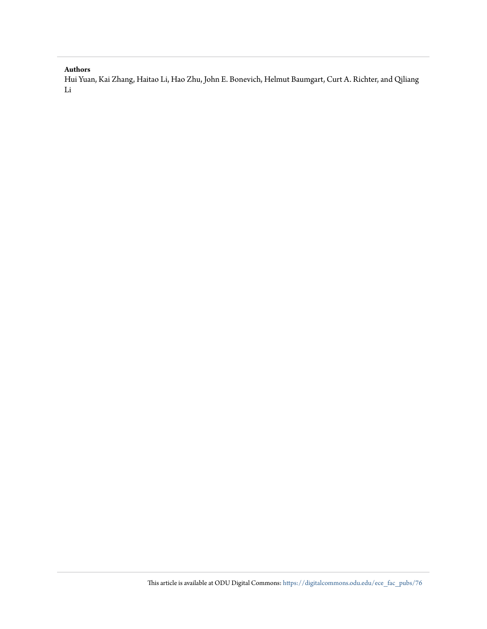#### **Authors**

Hui Yuan, Kai Zhang, Haitao Li, Hao Zhu, John E. Bonevich, Helmut Baumgart, Curt A. Richter, and Qiliang Li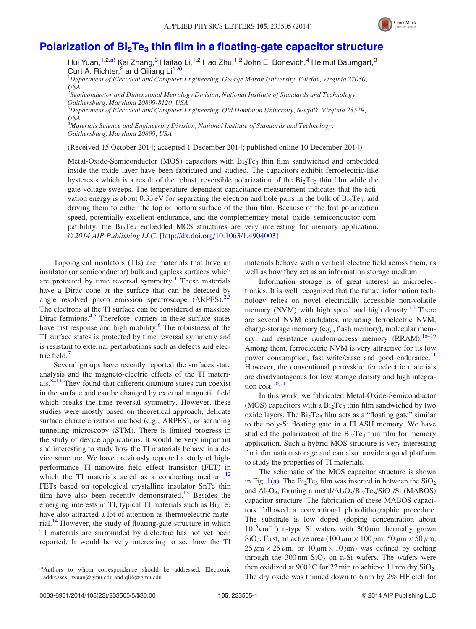

### Polarization of  $Bi<sub>2</sub>Te<sub>3</sub>$  [thin film in a floating-gate capacitor structure](http://dx.doi.org/10.1063/1.4904003)

Hui Yuan,  $1,2,3$ ) Kai Zhang,  $3$  Haitao Li,  $1,2$  Hao Zhu,  $1,2$  John E. Bonevich,  $4$  Helmut Baumgart,  $3$ Curt A. Richter,<sup>2</sup> and Qiliang Li<sup>1,a)</sup>

<sup>1</sup>Department of Electrical and Computer Engineering, George Mason University, Fairfax, Virginia 22030, USA

 $^2$ Semiconductor and Dimensional Metrology Division, National Institute of Standards and Technology, Gaithersburg, Maryland 20899-8120, USA

 $^3$ Department of Electrical and Computer Engineering, Old Dominion University, Norfolk, Virginia 23529, USA

<sup>4</sup>Materials Science and Engineering Division, National Institute of Standards and Technology, Gaithersburg, Maryland 20899, USA

(Received 15 October 2014; accepted 1 December 2014; published online 10 December 2014)

Metal-Oxide-Semiconductor (MOS) capacitors with  $Bi<sub>2</sub>Te<sub>3</sub>$  thin film sandwiched and embedded inside the oxide layer have been fabricated and studied. The capacitors exhibit ferroelectric-like hysteresis which is a result of the robust, reversible polarization of the  $Bi<sub>2</sub>Te<sub>3</sub>$  thin film while the gate voltage sweeps. The temperature-dependent capacitance measurement indicates that the activation energy is about 0.33 eV for separating the electron and hole pairs in the bulk of  $Bi<sub>2</sub>Te<sub>3</sub>$ , and driving them to either the top or bottom surface of the thin film. Because of the fast polarization speed, potentially excellent endurance, and the complementary metal–oxide–semiconductor compatibility, the  $Bi_2Te_3$  embedded MOS structures are very interesting for memory application. © 2014 AIP Publishing LLC. [[http://dx.doi.org/10.1063/1.4904003\]](http://dx.doi.org/10.1063/1.4904003)

Topological insulators (TIs) are materials that have an insulator (or semiconductor) bulk and gapless surfaces which are protected by time reversal symmetry.<sup>[1](#page-6-0)</sup> These materials have a Dirac cone at the surface that can be detected by angle resolved photo emission spectroscope  $(ARPES)^{2,3}$  $(ARPES)^{2,3}$  $(ARPES)^{2,3}$ The electrons at the TI surface can be considered as massless Dirac fermions. $4.5$  Therefore, carriers in these surface states have fast response and high mobility.<sup>[6](#page-6-0)</sup> The robustness of the TI surface states is protected by time reversal symmetry and is resistant to external perturbations such as defects and elec-tric field.<sup>[7](#page-6-0)</sup>

Several groups have recently reported the surfaces state analysis and the magneto-electric effects of the TI materials. $8-11$  They found that different quantum states can coexist in the surface and can be changed by external magnetic field which breaks the time reversal symmetry. However, these studies were mostly based on theoretical approach, delicate surface characterization method (e.g., ARPES), or scanning tunneling microscopy (STM). There is limited progress in the study of device applications. It would be very important and interesting to study how the TI materials behave in a device structure. We have previously reported a study of highperformance TI nanowire field effect transistor (FET) in which the TI materials acted as a conducting medium.<sup>[12](#page-6-0)</sup> FETs based on topological crystalline insulator SnTe thin film have also been recently demonstrated.<sup>[13](#page-6-0)</sup> Besides the emerging interests in TI, typical TI materials such as  $Bi<sub>2</sub>Te<sub>3</sub>$ have also attracted a lot of attention as thermoelectric mate-rial.<sup>[14](#page-6-0)</sup> However, the study of floating-gate structure in which TI materials are surrounded by dielectric has not yet been reported. It would be very interesting to see how the TI materials behave with a vertical electric field across them, as well as how they act as an information storage medium.

Information storage is of great interest in microelectronics. It is well recognized that the future information technology relies on novel electrically accessible non-volatile memory (NVM) with high speed and high density.<sup>15</sup> There are several NVM candidates, including ferroelectric NVM, charge-storage memory (e.g., flash memory), molecular memory, and resistance random-access memory (RRAM).<sup>16-19</sup> Among them, ferroelectric NVM is very attractive for its low power consumption, fast write/erase and good endurance.<sup>[11](#page-6-0)</sup> However, the conventional perovskite ferroelectric materials are disadvantageous for low storage density and high integration cost. $20,21$ 

In this work, we fabricated Metal-Oxide-Semiconductor (MOS) capacitors with a  $Bi<sub>2</sub>Te<sub>3</sub>$  thin film sandwiched by two oxide layers. The  $Bi<sub>2</sub>Te<sub>3</sub>$  film acts as a "floating gate" similar to the poly-Si floating gate in a FLASH memory. We have studied the polarization of the  $Bi<sub>2</sub>Te<sub>3</sub>$  thin film for memory application. Such a hybrid MOS structure is very interesting for information storage and can also provide a good platform to study the properties of TI materials.

The schematic of the MOS capacitor structure is shown in Fig.  $1(a)$ . The Bi<sub>2</sub>Te<sub>3</sub> film was inserted in between the SiO<sub>2</sub> and  $Al_2O_3$ , forming a metal/ $Al_2O_3/Bi_2Te_3/SiO_2/Si$  (MABOS) capacitor structure. The fabrication of these MABOS capacitors followed a conventional photolithographic procedure. The substrate is low doped (doping concentration about  $10^{15}$  cm<sup>-3</sup>) n-type Si wafers with 300 nm thermally grown SiO<sub>2</sub>. First, an active area (100  $\mu$ m  $\times$  100  $\mu$ m, 50  $\mu$ m  $\times$  50  $\mu$ m,  $25 \mu m \times 25 \mu m$ , or  $10 \mu m \times 10 \mu m$ ) was defined by etching through the  $300 \text{ nm }$  SiO<sub>2</sub> on n-Si wafers. The wafers were then oxidized at 900 °C for 22 min to achieve 11 nm dry  $SiO<sub>2</sub>$ . The dry oxide was thinned down to 6 nm by 2% HF etch for

a)Authors to whom correspondence should be addressed. Electronic addresses: [hyuan@gmu.edu](mailto:hyuan@gmu.edu) and [qli6@gmu.edu](mailto:qli6@gmu.edu)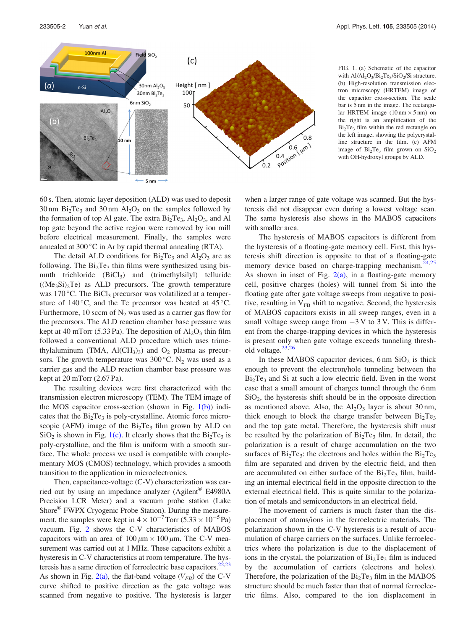<span id="page-3-0"></span>

FIG. 1. (a) Schematic of the capacitor with  $Al/Al_2O_3/Bi_2Te_3/SiO_2/Si$  structure. (b) High-resolution transmission electron microscopy (HRTEM) image of the capacitor cross-section. The scale bar is 5 nm in the image. The rectangular HRTEM image  $(10 \text{ nm} \times 5 \text{ nm})$  on the right is an amplification of the Bi<sub>2</sub>Te<sub>3</sub> film within the red rectangle on the left image, showing the polycrystalline structure in the film. (c) AFM image of  $Bi<sub>2</sub>Te<sub>3</sub>$  film grown on  $SiO<sub>2</sub>$ with OH-hydroxyl groups by ALD.

60 s. Then, atomic layer deposition (ALD) was used to deposit  $30 \text{ nm}$  Bi<sub>2</sub>Te<sub>3</sub> and  $30 \text{ nm}$  Al<sub>2</sub>O<sub>3</sub> on the samples followed by the formation of top Al gate. The extra  $Bi<sub>2</sub>Te<sub>3</sub>$ ,  $Al<sub>2</sub>O<sub>3</sub>$ , and Al top gate beyond the active region were removed by ion mill before electrical measurement. Finally, the samples were annealed at  $300\,^{\circ}\text{C}$  in Ar by rapid thermal annealing (RTA).

The detail ALD conditions for  $Bi<sub>2</sub>Te<sub>3</sub>$  and  $Al<sub>2</sub>O<sub>3</sub>$  are as following. The  $Bi<sub>2</sub>Te<sub>3</sub>$  thin films were synthesized using bismuth trichloride  $(BiCl<sub>3</sub>)$  and (trimethylsilyl) telluride  $((Me<sub>3</sub>Si)<sub>2</sub>Te)$  as ALD precursors. The growth temperature was 170 °C. The  $BiCl<sub>3</sub>$  precursor was volatilized at a temperature of  $140^{\circ}$ C, and the Te precursor was heated at  $45^{\circ}$ C. Furthermore, 10 sccm of  $N_2$  was used as a carrier gas flow for the precursors. The ALD reaction chamber base pressure was kept at 40 mTorr (5.33 Pa). The deposition of  $Al_2O_3$  thin film followed a conventional ALD procedure which uses trimethylaluminum (TMA,  $AI(CH_3)_3$ ) and  $O_2$  plasma as precursors. The growth temperature was  $300^{\circ}$ C. N<sub>2</sub> was used as a carrier gas and the ALD reaction chamber base pressure was kept at 20 mTorr (2.67 Pa).

The resulting devices were first characterized with the transmission electron microscopy (TEM). The TEM image of the MOS capacitor cross-section (shown in Fig.  $1(b)$ ) indicates that the  $Bi<sub>2</sub>Te<sub>3</sub>$  is poly-crystalline. Atomic force microscopic (AFM) image of the  $Bi<sub>2</sub>Te<sub>3</sub>$  film grown by ALD on  $SiO<sub>2</sub>$  is shown in Fig. 1(c). It clearly shows that the  $Bi<sub>2</sub>Te<sub>3</sub>$  is poly-crystalline, and the film is uniform with a smooth surface. The whole process we used is compatible with complementary MOS (CMOS) technology, which provides a smooth transition to the application in microelectronics.

Then, capacitance-voltage (C-V) characterization was carried out by using an impedance analyzer (Agilent® E4980A Precision LCR Meter) and a vacuum probe station (Lake Shore® FWPX Cryogenic Probe Station). During the measurement, the samples were kept in  $4 \times 10^{-7}$ Torr  $(5.33 \times 10^{-5}$ Pa) vacuum. Fig. [2](#page-4-0) shows the C-V characteristics of MABOS capacitors with an area of  $100 \mu m \times 100 \mu m$ . The C-V measurement was carried out at 1 MHz. These capacitors exhibit a hysteresis in C-V characteristics at room temperature. The hysteresis has a same direction of ferroelectric base capacitors. $2^{2,23}$ As shown in Fig. [2\(a\),](#page-4-0) the flat-band voltage  $(V_{FB})$  of the C-V curve shifted to positive direction as the gate voltage was scanned from negative to positive. The hysteresis is larger when a larger range of gate voltage was scanned. But the hysteresis did not disappear even during a lowest voltage scan. The same hysteresis also shows in the MABOS capacitors with smaller area.

The hysteresis of MABOS capacitors is different from the hysteresis of a floating-gate memory cell. First, this hysteresis shift direction is opposite to that of a floating-gate memory device based on charge-trapping mechanism.<sup>[24,25](#page-6-0)</sup> As shown in inset of Fig.  $2(a)$ , in a floating-gate memory cell, positive charges (holes) will tunnel from Si into the floating gate after gate voltage sweeps from negative to positive, resulting in  $V_{FB}$  shift to negative. Second, the hysteresis of MABOS capacitors exists in all sweep ranges, even in a small voltage sweep range from  $-3V$  to 3V. This is different from the charge-trapping devices in which the hysteresis is present only when gate voltage exceeds tunneling threshold voltage. $23,26$ 

In these MABOS capacitor devices,  $6 \text{ nm } \text{SiO}_2$  is thick enough to prevent the electron/hole tunneling between the  $Bi<sub>2</sub>Te<sub>3</sub>$  and Si at such a low electric field. Even in the worst case that a small amount of charges tunnel through the 6 nm  $SiO<sub>2</sub>$ , the hysteresis shift should be in the opposite direction as mentioned above. Also, the  $Al_2O_3$  layer is about 30 nm, thick enough to block the charge transfer between  $Bi<sub>2</sub>Te<sub>3</sub>$ and the top gate metal. Therefore, the hysteresis shift must be resulted by the polarization of  $Bi<sub>2</sub>Te<sub>3</sub>$  film. In detail, the polarization is a result of charge accumulation on the two surfaces of  $Bi<sub>2</sub>Te<sub>3</sub>$ : the electrons and holes within the  $Bi<sub>2</sub>Te<sub>3</sub>$ film are separated and driven by the electric field, and then are accumulated on either surface of the  $Bi<sub>2</sub>Te<sub>3</sub>$  film, building an internal electrical field in the opposite direction to the external electrical field. This is quite similar to the polarization of metals and semiconductors in an electrical field.

The movement of carriers is much faster than the displacement of atoms/ions in the ferroelectric materials. The polarization shown in the C-V hysteresis is a result of accumulation of charge carriers on the surfaces. Unlike ferroelectrics where the polarization is due to the displacement of ions in the crystal, the polarization of  $Bi<sub>2</sub>Te<sub>3</sub>$  film is induced by the accumulation of carriers (electrons and holes). Therefore, the polarization of the  $Bi<sub>2</sub>Te<sub>3</sub>$  film in the MABOS structure should be much faster than that of normal ferroelectric films. Also, compared to the ion displacement in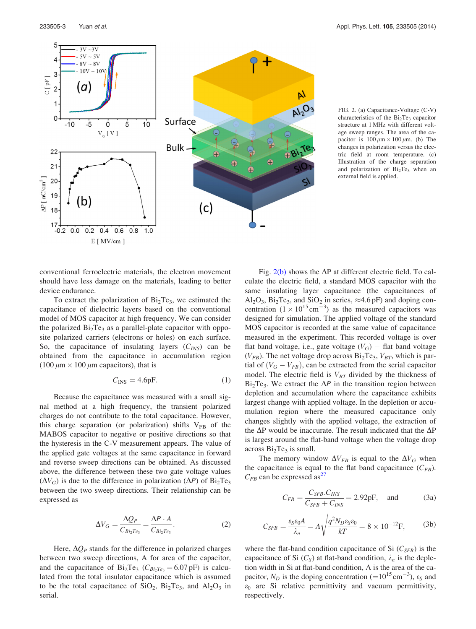<span id="page-4-0"></span>5

 $\overline{4}$ 

3  $C[$  pF $]$ 

 $\overline{c}$ 1  $\overline{0}$ 

22  $21$ 

20 19

18 17

 $-0.2$  0.0 0.2 0.4 0.6

 $E$  [ MV/cm ]

 $\Delta P$  [ nC/cm<sup>2</sup>



 $(c)$ 

FIG. 2. (a) Capacitance-Voltage (C-V) characteristics of the  $Bi<sub>2</sub>Te<sub>3</sub>$  capacitor structure at 1 MHz with different voltage sweep ranges. The area of the capacitor is  $100 \mu m \times 100 \mu m$ . (b) The changes in polarization versus the electric field at room temperature. (c) Illustration of the charge separation and polarization of  $Bi<sub>2</sub>Te<sub>3</sub>$  when an external field is applied.

conventional ferroelectric materials, the electron movement should have less damage on the materials, leading to better device endurance.

 $0.8$  $1.0$ 

To extract the polarization of  $Bi<sub>2</sub>Te<sub>3</sub>$ , we estimated the capacitance of dielectric layers based on the conventional model of MOS capacitor at high frequency. We can consider the polarized  $Bi<sub>2</sub>Te<sub>3</sub>$  as a parallel-plate capacitor with opposite polarized carriers (electrons or holes) on each surface. So, the capacitance of insulating layers  $(C_{INS})$  can be obtained from the capacitance in accumulation region (100  $\mu$ m  $\times$  100  $\mu$ m capacitors), that is

$$
C_{\rm INS} = 4.6pF.
$$
 (1)

Because the capacitance was measured with a small signal method at a high frequency, the transient polarized charges do not contribute to the total capacitance. However, this charge separation (or polarization) shifts  $V_{FB}$  of the MABOS capacitor to negative or positive directions so that the hysteresis in the C-V measurement appears. The value of the applied gate voltages at the same capacitance in forward and reverse sweep directions can be obtained. As discussed above, the difference between these two gate voltage values  $(\Delta V_G)$  is due to the difference in polarization  $(\Delta P)$  of Bi<sub>2</sub>Te<sub>3</sub> between the two sweep directions. Their relationship can be expressed as

$$
\Delta V_G = \frac{\Delta Q_P}{C_{Bi_2Te_3}} = \frac{\Delta P \cdot A}{C_{Bi_2Te_3}}.\tag{2}
$$

Here,  $\Delta Q_P$  stands for the difference in polarized charges between two sweep directions, A for area of the capacitor, and the capacitance of  $Bi_2Te_3$  ( $C_{Bi_2Te_3} = 6.07$  pF) is calculated from the total insulator capacitance which is assumed to be the total capacitance of  $SiO_2$ ,  $Bi_2Te_3$ , and  $Al_2O_3$  in serial.

Fig.  $2(b)$  shows the  $\Delta P$  at different electric field. To calculate the electric field, a standard MOS capacitor with the same insulating layer capacitance (the capacitances of  $Al_2O_3$ ,  $Bi_2Te_3$ , and  $SiO_2$  in series,  $\approx 4.6$  pF) and doping concentration  $(1 \times 10^{15} \text{ cm}^{-3})$  as the measured capacitors was designed for simulation. The applied voltage of the standard MOS capacitor is recorded at the same value of capacitance measured in the experiment. This recorded voltage is over flat band voltage, i.e., gate voltage  $(V_G)$  – flat band voltage  $(V_{FB})$ . The net voltage drop across  $Bi<sub>2</sub>Te<sub>3</sub>$ ,  $V_{BT}$ , which is partial of  $(V_G - V_{FB})$ , can be extracted from the serial capacitor model. The electric field is  $V_{BT}$  divided by the thickness of  $Bi<sub>2</sub>Te<sub>3</sub>$ . We extract the  $\Delta P$  in the transition region between depletion and accumulation where the capacitance exhibits largest change with applied voltage. In the depletion or accumulation region where the measured capacitance only changes slightly with the applied voltage, the extraction of the  $\Delta P$  would be inaccurate. The result indicated that the  $\Delta P$ is largest around the flat-band voltage when the voltage drop across  $Bi<sub>2</sub>Te<sub>3</sub>$  is small.

The memory window  $\Delta V_{FB}$  is equal to the  $\Delta V_G$  when the capacitance is equal to the flat band capacitance  $(C_{FB})$ .  $C_{FB}$  can be expressed as<sup>[27](#page-6-0)</sup>

$$
C_{FB} = \frac{C_{SFB} . C_{INS}}{C_{SFB} + C_{INS}} = 2.92 \text{pF}, \text{ and}
$$
 (3a)

$$
C_{SFB} = \frac{\varepsilon_S \varepsilon_0 A}{\lambda_n} = A \sqrt{\frac{q^2 N_D \varepsilon_S \varepsilon_0}{kT}} = 8 \times 10^{-12} \text{F},\tag{3b}
$$

where the flat-band condition capacitance of Si  $(C_{SFB})$  is the capacitance of Si  $(C_S)$  at flat-band condition,  $\lambda_n$  is the depletion width in Si at flat-band condition, A is the area of the capacitor,  $N_D$  is the doping concentration (=10<sup>15</sup> cm<sup>-3</sup>),  $\varepsilon_S$  and  $\varepsilon_0$  are Si relative permittivity and vacuum permittivity, respectively.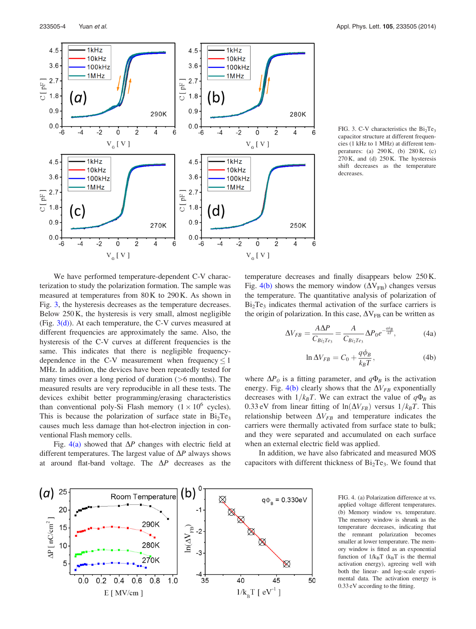

233505-4 Yuan et al. Appl. Phys. Lett. 105, 233505 (2014)

FIG. 3. C-V characteristics the  $Bi<sub>2</sub>Te<sub>3</sub>$ capacitor structure at different frequencies (1 kHz to 1 MHz) at different temperatures: (a) 290 K, (b) 280 K, (c) 270 K, and (d) 250 K. The hysteresis shift decreases as the temperature decreases.

We have performed temperature-dependent C-V characterization to study the polarization formation. The sample was measured at temperatures from 80 K to 290 K. As shown in Fig. 3, the hysteresis decreases as the temperature decreases. Below 250 K, the hysteresis is very small, almost negligible (Fig.  $3(d)$ ). At each temperature, the C-V curves measured at different frequencies are approximately the same. Also, the hysteresis of the C-V curves at different frequencies is the same. This indicates that there is negligible frequencydependence in the C-V measurement when frequency  $\leq 1$ MHz. In addition, the devices have been repeatedly tested for many times over a long period of duration  $($  >6 months). The measured results are very reproducible in all these tests. The devices exhibit better programming/erasing characteristics than conventional poly-Si Flash memory  $(1 \times 10^6$  cycles). This is because the polarization of surface state in  $Bi<sub>2</sub>Te<sub>3</sub>$ causes much less damage than hot-electron injection in conventional Flash memory cells.

Fig. 4(a) showed that  $\Delta P$  changes with electric field at different temperatures. The largest value of  $\Delta P$  always shows at around flat-band voltage. The  $\Delta P$  decreases as the temperature decreases and finally disappears below 250 K. Fig. 4(b) shows the memory window  $(\Delta V_{FB})$  changes versus the temperature. The quantitative analysis of polarization of  $Bi<sub>2</sub>Te<sub>3</sub>$  indicates thermal activation of the surface carriers is the origin of polarization. In this case,  $\Delta V_{FB}$  can be written as

$$
\Delta V_{FB} = \frac{A\Delta P}{C_{Bi_2Te_3}} = \frac{A}{C_{Bi_2Te_3}} \Delta P_0 e^{-\frac{q\phi_B}{kT}},\tag{4a}
$$

$$
\ln \Delta V_{FB} = C_0 + \frac{q\phi_B}{k_B T},\tag{4b}
$$

where  $\Delta P_0$  is a fitting parameter, and  $q\Phi_B$  is the activation energy. Fig. 4(b) clearly shows that the  $\Delta V_{FB}$  exponentially decreases with  $1/k_BT$ . We can extract the value of  $q\Phi_B$  as 0.33 eV from linear fitting of  $ln(\Delta V_{FB})$  versus  $1/k_BT$ . This relationship between  $\Delta V_{FB}$  and temperature indicates the carriers were thermally activated from surface state to bulk; and they were separated and accumulated on each surface when an external electric field was applied.

In addition, we have also fabricated and measured MOS capacitors with different thickness of  $Bi<sub>2</sub>Te<sub>3</sub>$ . We found that



FIG. 4. (a) Polarization difference at vs. applied voltage different temperatures. (b) Memory window vs. temperature. The memory window is shrunk as the temperature decreases, indicating that the remnant polarization becomes smaller at lower temperature. The memory window is fitted as an exponential function of  $1/k_BT$  ( $k_BT$  is the thermal activation energy), agreeing well with both the linear- and log-scale experimental data. The activation energy is 0.33 eV according to the fitting.